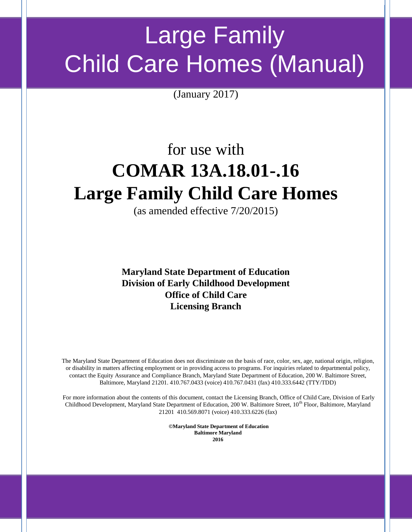# Large Family Child Care Homes (Manual)

(January 2017)

## for use with **COMAR 13A.18.01-.16 Large Family Child Care Homes**

(as amended effective 7/20/2015)

**Maryland State Department of Education Division of Early Childhood Development Office of Child Care Licensing Branch**

The Maryland State Department of Education does not discriminate on the basis of race, color, sex, age, national origin, religion, or disability in matters affecting employment or in providing access to programs. For inquiries related to departmental policy, contact the Equity Assurance and Compliance Branch, Maryland State Department of Education, 200 W. Baltimore Street, Baltimore, Maryland 21201. 410.767.0433 (voice) 410.767.0431 (fax) 410.333.6442 (TTY/TDD)

For more information about the contents of this document, contact the Licensing Branch, Office of Child Care, Division of Early Childhood Development, Maryland State Department of Education, 200 W. Baltimore Street, 10<sup>th</sup> Floor, Baltimore, Maryland 21201 410.569.8071 (voice) 410.333.6226 (fax)

> **©Maryland State Department of Education Baltimore Maryland 2016**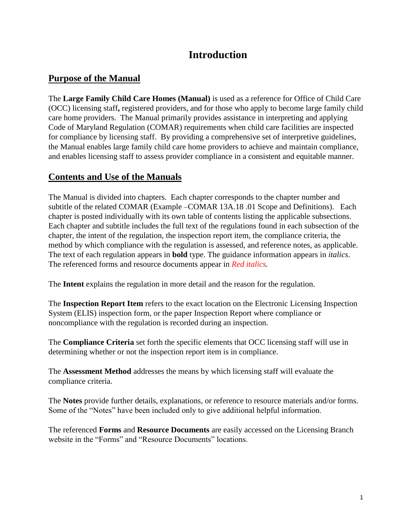## **Introduction**

#### **Purpose of the Manual**

The **Large Family Child Care Homes (Manual)** is used as a reference for Office of Child Care (OCC) licensing staff**,** registered providers, and for those who apply to become large family child care home providers. The Manual primarily provides assistance in interpreting and applying Code of Maryland Regulation (COMAR) requirements when child care facilities are inspected for compliance by licensing staff. By providing a comprehensive set of interpretive guidelines, the Manual enables large family child care home providers to achieve and maintain compliance, and enables licensing staff to assess provider compliance in a consistent and equitable manner.

#### **Contents and Use of the Manuals**

The Manual is divided into chapters. Each chapter corresponds to the chapter number and subtitle of the related COMAR (Example –COMAR 13A.18 .01 Scope and Definitions). Each chapter is posted individually with its own table of contents listing the applicable subsections. Each chapter and subtitle includes the full text of the regulations found in each subsection of the chapter, the intent of the regulation, the inspection report item, the compliance criteria, the method by which compliance with the regulation is assessed, and reference notes, as applicable. The text of each regulation appears in **bold** type. The guidance information appears in *italics*. The referenced forms and resource documents appear in *Red italics.*

The **Intent** explains the regulation in more detail and the reason for the regulation.

The **Inspection Report Item** refers to the exact location on the Electronic Licensing Inspection System (ELIS) inspection form, or the paper Inspection Report where compliance or noncompliance with the regulation is recorded during an inspection.

The **Compliance Criteria** set forth the specific elements that OCC licensing staff will use in determining whether or not the inspection report item is in compliance.

The **Assessment Method** addresses the means by which licensing staff will evaluate the compliance criteria.

The **Notes** provide further details, explanations, or reference to resource materials and/or forms. Some of the "Notes" have been included only to give additional helpful information.

The referenced **Forms** and **Resource Documents** are easily accessed on the Licensing Branch website in the "Forms" and "Resource Documents" locations.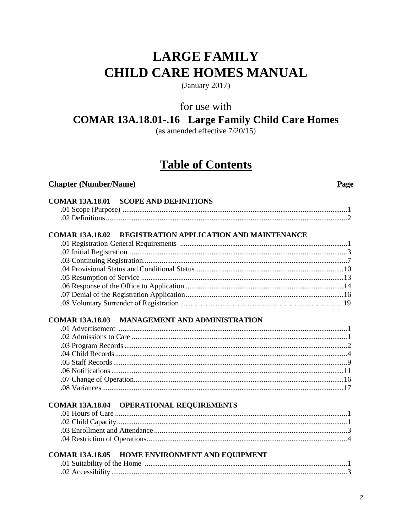## **LARGE FAMILY CHILD CARE HOMES MANUAL**

(January 2017)

for use with

### **COMAR 13A.18.01-.16 Large Family Child Care Homes**

(as amended effective  $7/20/15$ )

## **Table of Contents**

#### **Chapter (Number/Name)**

Page

| <b>COMAR 13A.18.01 SCOPE AND DEFINITIONS</b>                       |
|--------------------------------------------------------------------|
| REGISTRATION APPLICATION AND MAINTENANCE<br><b>COMAR 13A.18.02</b> |
|                                                                    |
|                                                                    |
|                                                                    |
|                                                                    |
|                                                                    |
|                                                                    |
|                                                                    |
|                                                                    |
| <b>COMAR 13A.18.03 MANAGEMENT AND ADMINISTRATION</b>               |
| <b>COMAR 13A.18.04 OPERATIONAL REQUIREMENTS</b>                    |
|                                                                    |
|                                                                    |
|                                                                    |
| <b>COMAR 13A.18.05 HOME ENVIRONMENT AND EQUIPMENT</b>              |
|                                                                    |
|                                                                    |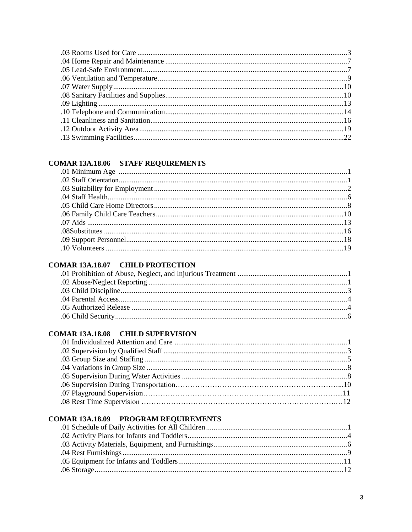#### **COMAR 13A.18.06 STAFF REQUIREMENTS**

#### **COMAR 13A.18.07 CHILD PROTECTION**

#### **COMAR 13A.18.08 CHILD SUPERVISION**

#### **COMAR 13A.18.09 PROGRAM REQUIREMENTS**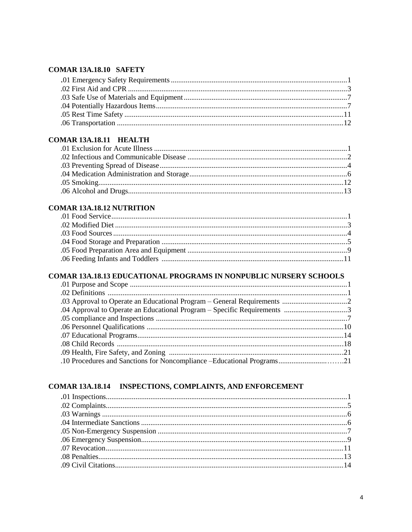#### **COMAR 13A.18.10 SAFETY**

#### COMAR 13A.18.11 HEALTH

#### **COMAR 13A.18.12 NUTRITION**

## COMAR 13A.18.13 EDUCATIONAL PROGRAMS IN NONPUBLIC NURSERY SCHOOLS

#### COMAR 13A.18.14 INSPECTIONS, COMPLAINTS, AND ENFORCEMENT